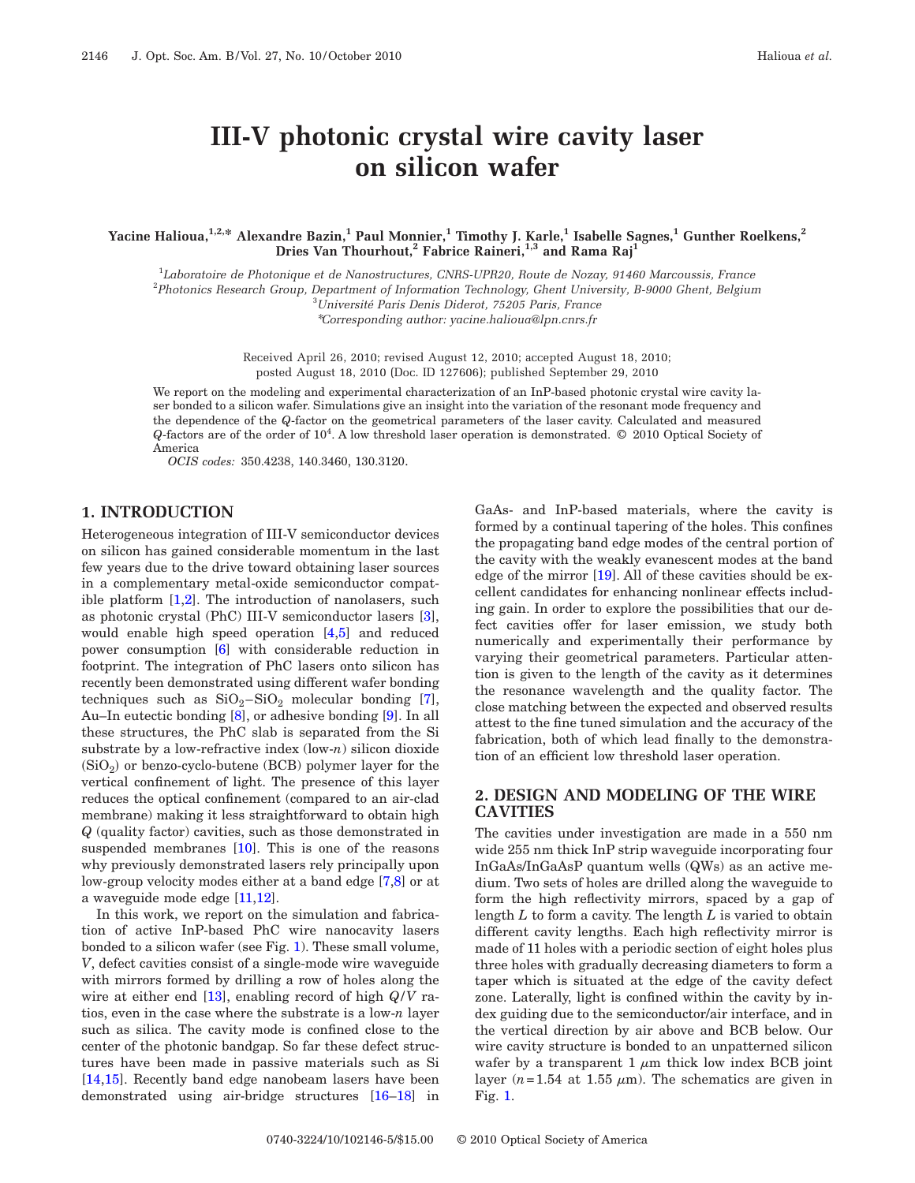# **III-V photonic crystal wire cavity laser on silicon wafer**

**Yacine Halioua,1,2,\* Alexandre Bazin,1 Paul Monnier,1 Timothy J. Karle,1 Isabelle Sagnes,1 Gunther Roelkens,2 Dries Van Thourhout,<sup>2</sup> Fabrice Raineri,<sup>1,3</sup> and Rama Raj<sup>1</sup>** 

1 *Laboratoire de Photonique et de Nanostructures, CNRS-UPR20, Route de Nozay, 91460 Marcoussis, France* 2 *Photonics Research Group, Department of Information Technology, Ghent University, B-9000 Ghent, Belgium* 3 *Université Paris Denis Diderot, 75205 Paris, France*

\**Corresponding author: yacine.halioua@lpn.cnrs.fr*

Received April 26, 2010; revised August 12, 2010; accepted August 18, 2010; posted August 18, 2010 (Doc. ID 127606); published September 29, 2010

We report on the modeling and experimental characterization of an InP-based photonic crystal wire cavity laser bonded to a silicon wafer. Simulations give an insight into the variation of the resonant mode frequency and the dependence of the *Q*-factor on the geometrical parameters of the laser cavity. Calculated and measured *Q*-factors are of the order of 104. A low threshold laser operation is demonstrated. © 2010 Optical Society of America

*OCIS codes:* 350.4238, 140.3460, 130.3120.

#### **1. INTRODUCTION**

Heterogeneous integration of III-V semiconductor devices on silicon has gained considerable momentum in the last few years due to the drive toward obtaining laser sources in a complementary metal-oxide semiconductor compatible platform [\[1,](#page-4-0)[2\]](#page-4-1). The introduction of nanolasers, such as photonic crystal (PhC) III-V semiconductor lasers [\[3\]](#page-4-2), would enable high speed operation [\[4,](#page-4-3)[5\]](#page-4-4) and reduced power consumption [\[6\]](#page-4-5) with considerable reduction in footprint. The integration of PhC lasers onto silicon has recently been demonstrated using different wafer bonding techniques such as  $SiO_2-SiO_2$  molecular bonding [\[7\]](#page-4-6), Au–In eutectic bonding [\[8\]](#page-4-7), or adhesive bonding [\[9\]](#page-4-8). In all these structures, the PhC slab is separated from the Si substrate by a low-refractive index (low-*n*) silicon dioxide  $(SiO<sub>2</sub>)$  or benzo-cyclo-butene (BCB) polymer layer for the vertical confinement of light. The presence of this layer reduces the optical confinement (compared to an air-clad membrane) making it less straightforward to obtain high *Q* (quality factor) cavities, such as those demonstrated in suspended membranes [\[10\]](#page-4-9). This is one of the reasons why previously demonstrated lasers rely principally upon low-group velocity modes either at a band edge [\[7,](#page-4-6)[8\]](#page-4-7) or at a waveguide mode edge [\[11,](#page-4-10)[12\]](#page-4-11).

In this work, we report on the simulation and fabrication of active InP-based PhC wire nanocavity lasers bonded to a silicon wafer (see Fig. [1\)](#page-1-0). These small volume, *V*, defect cavities consist of a single-mode wire waveguide with mirrors formed by drilling a row of holes along the wire at either end [\[13\]](#page-4-12), enabling record of high *Q*/*V* ratios, even in the case where the substrate is a low-*n* layer such as silica. The cavity mode is confined close to the center of the photonic bandgap. So far these defect structures have been made in passive materials such as Si [\[14,](#page-4-13)[15\]](#page-4-14). Recently band edge nanobeam lasers have been demonstrated using air-bridge structures [\[16](#page-4-15)[–18\]](#page-4-16) in

GaAs- and InP-based materials, where the cavity is formed by a continual tapering of the holes. This confines the propagating band edge modes of the central portion of the cavity with the weakly evanescent modes at the band edge of the mirror [\[19\]](#page-4-17). All of these cavities should be excellent candidates for enhancing nonlinear effects including gain. In order to explore the possibilities that our defect cavities offer for laser emission, we study both numerically and experimentally their performance by varying their geometrical parameters. Particular attention is given to the length of the cavity as it determines the resonance wavelength and the quality factor. The close matching between the expected and observed results attest to the fine tuned simulation and the accuracy of the fabrication, both of which lead finally to the demonstration of an efficient low threshold laser operation.

## **2. DESIGN AND MODELING OF THE WIRE CAVITIES**

The cavities under investigation are made in a 550 nm wide 255 nm thick InP strip waveguide incorporating four InGaAs/InGaAsP quantum wells (QWs) as an active medium. Two sets of holes are drilled along the waveguide to form the high reflectivity mirrors, spaced by a gap of length *L* to form a cavity. The length *L* is varied to obtain different cavity lengths. Each high reflectivity mirror is made of 11 holes with a periodic section of eight holes plus three holes with gradually decreasing diameters to form a taper which is situated at the edge of the cavity defect zone. Laterally, light is confined within the cavity by index guiding due to the semiconductor/air interface, and in the vertical direction by air above and BCB below. Our wire cavity structure is bonded to an unpatterned silicon wafer by a transparent  $1 \mu m$  thick low index BCB joint layer  $(n=1.54$  at 1.55  $\mu$ m). The schematics are given in Fig. [1.](#page-1-0)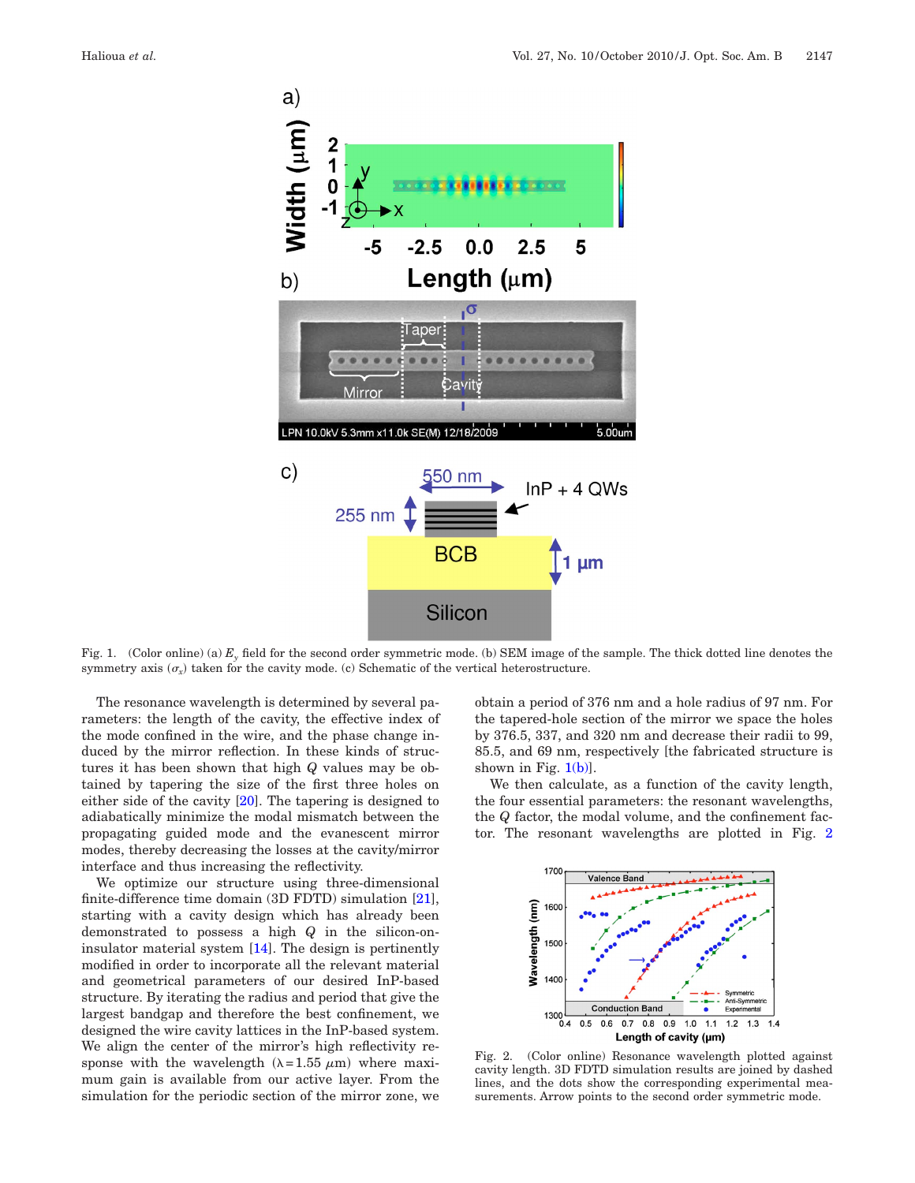<span id="page-1-0"></span>

Fig. 1. (Color online) (a) *Ey* field for the second order symmetric mode. (b) SEM image of the sample. The thick dotted line denotes the symmetry axis  $(\sigma_x)$  taken for the cavity mode. (c) Schematic of the vertical heterostructure.

The resonance wavelength is determined by several parameters: the length of the cavity, the effective index of the mode confined in the wire, and the phase change induced by the mirror reflection. In these kinds of structures it has been shown that high *Q* values may be obtained by tapering the size of the first three holes on either side of the cavity [\[20\]](#page-4-18). The tapering is designed to adiabatically minimize the modal mismatch between the propagating guided mode and the evanescent mirror modes, thereby decreasing the losses at the cavity/mirror interface and thus increasing the reflectivity.

We optimize our structure using three-dimensional finite-difference time domain (3D FDTD) simulation [\[21\]](#page-4-19), starting with a cavity design which has already been demonstrated to possess a high *Q* in the silicon-oninsulator material system [\[14\]](#page-4-13). The design is pertinently modified in order to incorporate all the relevant material and geometrical parameters of our desired InP-based structure. By iterating the radius and period that give the largest bandgap and therefore the best confinement, we designed the wire cavity lattices in the InP-based system. We align the center of the mirror's high reflectivity response with the wavelength  $(\lambda = 1.55 \mu m)$  where maximum gain is available from our active layer. From the simulation for the periodic section of the mirror zone, we obtain a period of 376 nm and a hole radius of 97 nm. For the tapered-hole section of the mirror we space the holes by 376.5, 337, and 320 nm and decrease their radii to 99, 85.5, and 69 nm, respectively [the fabricated structure is shown in Fig.  $1(b)$ .

We then calculate, as a function of the cavity length, the four essential parameters: the resonant wavelengths, the *Q* factor, the modal volume, and the confinement factor. The resonant wavelengths are plotted in Fig. [2](#page-1-1)

<span id="page-1-1"></span>

Fig. 2. (Color online) Resonance wavelength plotted against cavity length. 3D FDTD simulation results are joined by dashed lines, and the dots show the corresponding experimental measurements. Arrow points to the second order symmetric mode.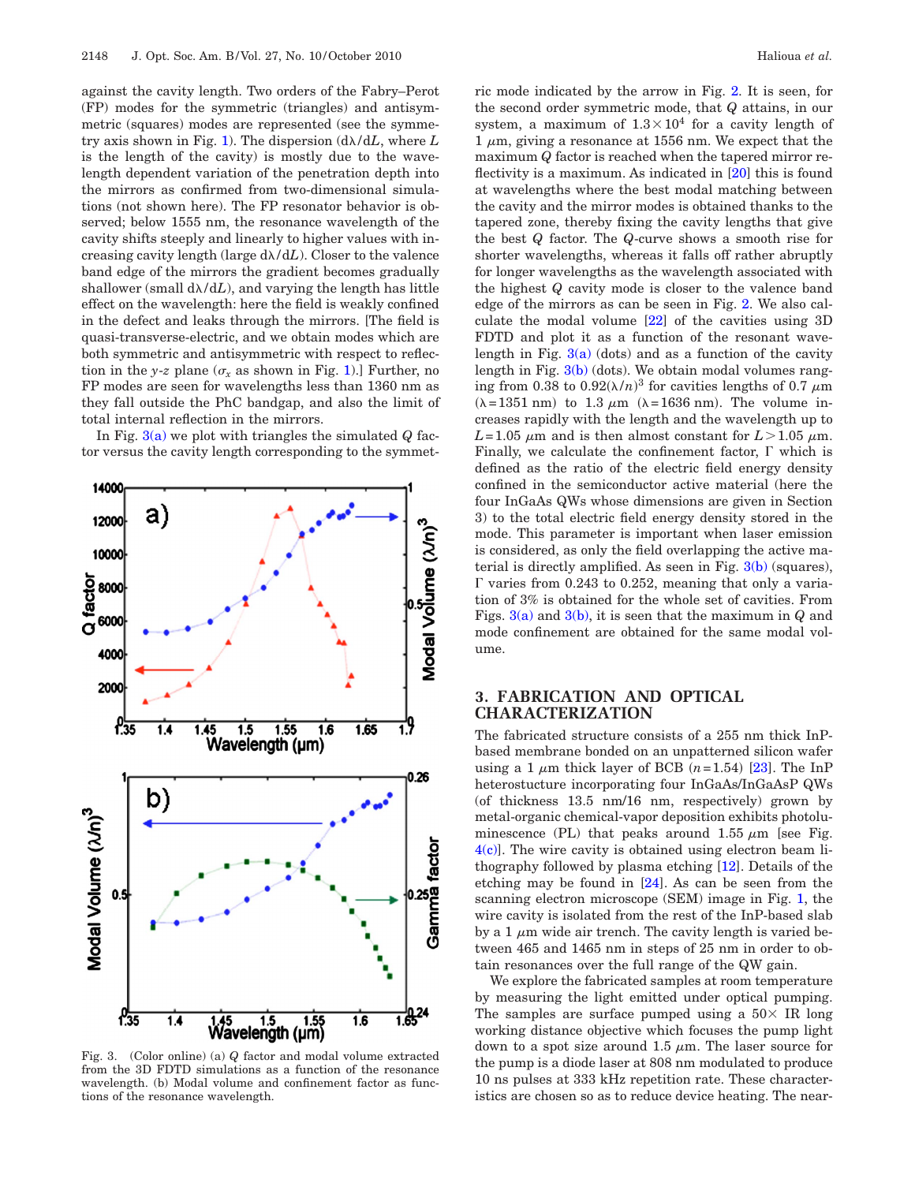against the cavity length. Two orders of the Fabry–Perot (FP) modes for the symmetric (triangles) and antisymmetric (squares) modes are represented (see the symme-try axis shown in Fig. [1\)](#page-1-0). The dispersion  $(d\lambda/dL,$  where  $L$ is the length of the cavity) is mostly due to the wavelength dependent variation of the penetration depth into the mirrors as confirmed from two-dimensional simulations (not shown here). The FP resonator behavior is observed; below 1555 nm, the resonance wavelength of the cavity shifts steeply and linearly to higher values with increasing cavity length (large  $d\lambda/dL$ ). Closer to the valence band edge of the mirrors the gradient becomes gradually shallower (small  $d\lambda/dL$ ), and varying the length has little effect on the wavelength: here the field is weakly confined in the defect and leaks through the mirrors. [The field is quasi-transverse-electric, and we obtain modes which are both symmetric and antisymmetric with respect to reflection in the *y*-*z* plane ( $\sigma$ <sub>r</sub> as shown in Fig. [1\)](#page-1-0).] Further, no FP modes are seen for wavelengths less than 1360 nm as they fall outside the PhC bandgap, and also the limit of total internal reflection in the mirrors.

In Fig. [3\(a\)](#page-2-0) we plot with triangles the simulated *Q* factor versus the cavity length corresponding to the symmet-

<span id="page-2-0"></span>

Fig. 3. (Color online) (a) *Q* factor and modal volume extracted from the 3D FDTD simulations as a function of the resonance wavelength. (b) Modal volume and confinement factor as functions of the resonance wavelength.

ric mode indicated by the arrow in Fig. [2.](#page-1-1) It is seen, for the second order symmetric mode, that *Q* attains, in our system, a maximum of  $1.3 \times 10^4$  for a cavity length of 1  $\mu$ m, giving a resonance at 1556 nm. We expect that the maximum *Q* factor is reached when the tapered mirror reflectivity is a maximum. As indicated in [\[20\]](#page-4-18) this is found at wavelengths where the best modal matching between the cavity and the mirror modes is obtained thanks to the tapered zone, thereby fixing the cavity lengths that give the best *Q* factor. The *Q*-curve shows a smooth rise for shorter wavelengths, whereas it falls off rather abruptly for longer wavelengths as the wavelength associated with the highest *Q* cavity mode is closer to the valence band edge of the mirrors as can be seen in Fig. [2.](#page-1-1) We also calculate the modal volume [\[22\]](#page-4-20) of the cavities using 3D FDTD and plot it as a function of the resonant wavelength in Fig.  $3(a)$  (dots) and as a function of the cavity length in Fig. [3\(b\)](#page-2-0) (dots). We obtain modal volumes ranging from 0.38 to  $0.92(\lambda/n)^3$  for cavities lengths of 0.7  $\mu$ m  $(\lambda = 1351 \text{ nm})$  to 1.3  $\mu$ m ( $\lambda = 1636 \text{ nm}$ ). The volume increases rapidly with the length and the wavelength up to  $L = 1.05 \mu m$  and is then almost constant for  $L > 1.05 \mu m$ . Finally, we calculate the confinement factor,  $\Gamma$  which is defined as the ratio of the electric field energy density confined in the semiconductor active material (here the four InGaAs QWs whose dimensions are given in Section 3) to the total electric field energy density stored in the mode. This parameter is important when laser emission is considered, as only the field overlapping the active material is directly amplified. As seen in Fig. [3\(b\)](#page-2-0) (squares),  $\Gamma$  varies from 0.243 to 0.252, meaning that only a variation of 3% is obtained for the whole set of cavities. From Figs. [3\(a\)](#page-2-0) and [3\(b\),](#page-2-0) it is seen that the maximum in *Q* and mode confinement are obtained for the same modal volume.

# **3. FABRICATION AND OPTICAL CHARACTERIZATION**

The fabricated structure consists of a 255 nm thick InPbased membrane bonded on an unpatterned silicon wafer using a 1  $\mu$ m thick layer of BCB  $(n=1.54)$  [\[23\]](#page-4-21). The InP heterostucture incorporating four InGaAs/InGaAsP QWs (of thickness 13.5 nm/16 nm, respectively) grown by metal-organic chemical-vapor deposition exhibits photoluminescence (PL) that peaks around 1.55  $\mu$ m [see Fig.  $4(c)$ . The wire cavity is obtained using electron beam lithography followed by plasma etching [\[12\]](#page-4-11). Details of the etching may be found in [\[24\]](#page-4-22). As can be seen from the scanning electron microscope (SEM) image in Fig. [1,](#page-1-0) the wire cavity is isolated from the rest of the InP-based slab by a 1  $\mu$ m wide air trench. The cavity length is varied between 465 and 1465 nm in steps of 25 nm in order to obtain resonances over the full range of the QW gain.

We explore the fabricated samples at room temperature by measuring the light emitted under optical pumping. The samples are surface pumped using a  $50\times$  IR long working distance objective which focuses the pump light down to a spot size around 1.5  $\mu$ m. The laser source for the pump is a diode laser at 808 nm modulated to produce 10 ns pulses at 333 kHz repetition rate. These characteristics are chosen so as to reduce device heating. The near-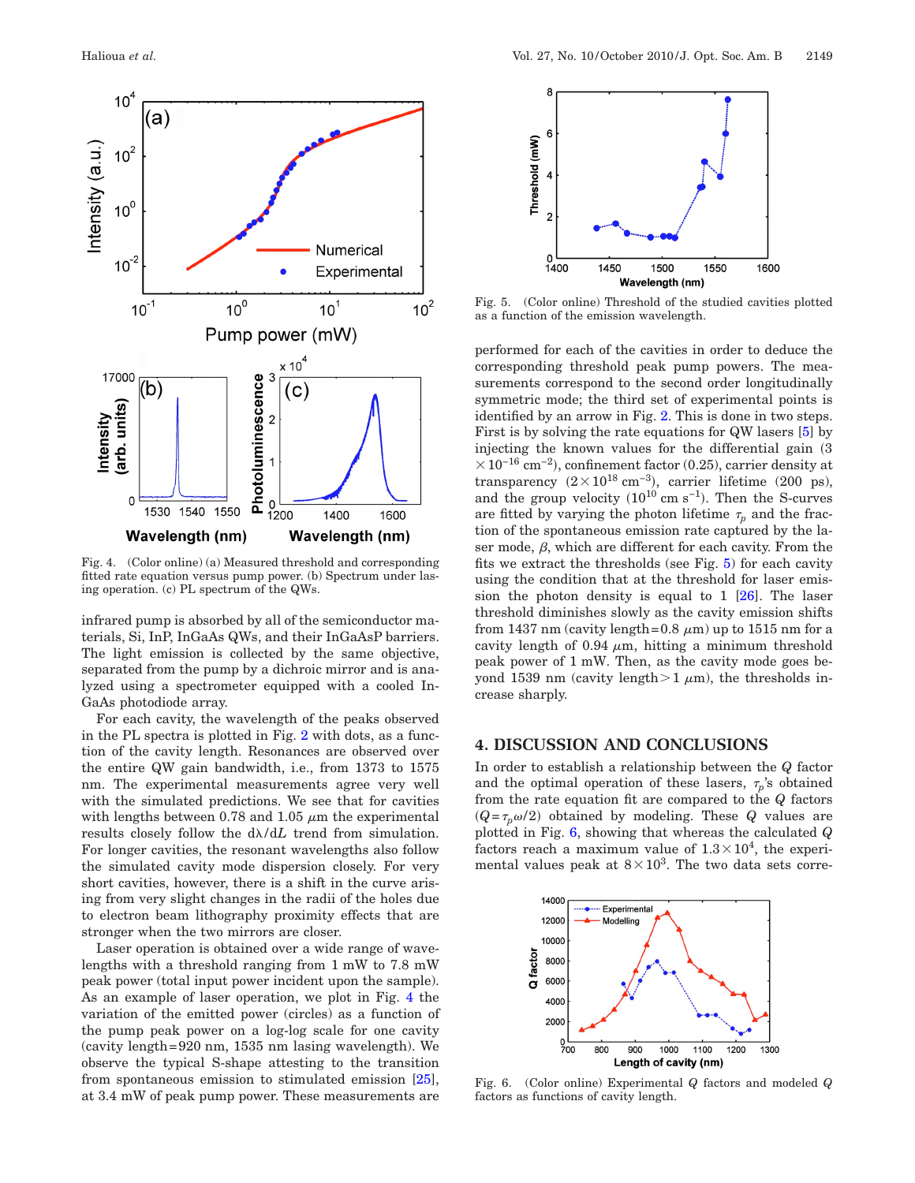<span id="page-3-0"></span>

Fig. 4. (Color online) (a) Measured threshold and corresponding fitted rate equation versus pump power. (b) Spectrum under lasing operation. (c) PL spectrum of the QWs.

infrared pump is absorbed by all of the semiconductor materials, Si, InP, InGaAs QWs, and their InGaAsP barriers. The light emission is collected by the same objective, separated from the pump by a dichroic mirror and is analyzed using a spectrometer equipped with a cooled In-GaAs photodiode array.

For each cavity, the wavelength of the peaks observed in the PL spectra is plotted in Fig. [2](#page-1-1) with dots, as a function of the cavity length. Resonances are observed over the entire QW gain bandwidth, i.e., from 1373 to 1575 nm. The experimental measurements agree very well with the simulated predictions. We see that for cavities with lengths between 0.78 and 1.05  $\mu$ m the experimental results closely follow the  $d\lambda/dL$  trend from simulation. For longer cavities, the resonant wavelengths also follow the simulated cavity mode dispersion closely. For very short cavities, however, there is a shift in the curve arising from very slight changes in the radii of the holes due to electron beam lithography proximity effects that are stronger when the two mirrors are closer.

Laser operation is obtained over a wide range of wavelengths with a threshold ranging from 1 mW to 7.8 mW peak power (total input power incident upon the sample). As an example of laser operation, we plot in Fig. [4](#page-3-0) the variation of the emitted power (circles) as a function of the pump peak power on a log-log scale for one cavity (cavity length=920 nm, 1535 nm lasing wavelength). We observe the typical S-shape attesting to the transition from spontaneous emission to stimulated emission [\[25\]](#page-4-23), at 3.4 mW of peak pump power. These measurements are

<span id="page-3-1"></span>

Fig. 5. (Color online) Threshold of the studied cavities plotted as a function of the emission wavelength.

performed for each of the cavities in order to deduce the corresponding threshold peak pump powers. The measurements correspond to the second order longitudinally symmetric mode; the third set of experimental points is identified by an arrow in Fig. [2.](#page-1-1) This is done in two steps. First is by solving the rate equations for QW lasers [\[5\]](#page-4-4) by injecting the known values for the differential gain  $(3)$  $\times$ 10<sup>-16</sup> cm<sup>-2</sup>), confinement factor (0.25), carrier density at transparency  $(2 \times 10^{18} \text{ cm}^{-3})$ , carrier lifetime (200 ps), and the group velocity  $(10^{10} \text{ cm s}^{-1})$ . Then the S-curves are fitted by varying the photon lifetime  $\tau_p$  and the fraction of the spontaneous emission rate captured by the laser mode,  $\beta$ , which are different for each cavity. From the fits we extract the thresholds (see Fig. [5\)](#page-3-1) for each cavity using the condition that at the threshold for laser emission the photon density is equal to  $1 \, [26]$  $1 \, [26]$ . The laser threshold diminishes slowly as the cavity emission shifts from 1437 nm (cavity length=0.8  $\mu$ m) up to 1515 nm for a cavity length of 0.94  $\mu$ m, hitting a minimum threshold peak power of 1 mW. Then, as the cavity mode goes beyond 1539 nm (cavity length $>1 \mu$ m), the thresholds increase sharply.

#### **4. DISCUSSION AND CONCLUSIONS**

In order to establish a relationship between the *Q* factor and the optimal operation of these lasers,  $\tau_n$ 's obtained from the rate equation fit are compared to the *Q* factors  $(Q = \tau_p \omega/2)$  obtained by modeling. These *Q* values are plotted in Fig. [6,](#page-3-2) showing that whereas the calculated *Q* factors reach a maximum value of  $1.3 \times 10^4$ , the experimental values peak at  $8\times10^3$ . The two data sets corre-

<span id="page-3-2"></span>

Fig. 6. (Color online) Experimental *Q* factors and modeled *Q* factors as functions of cavity length.